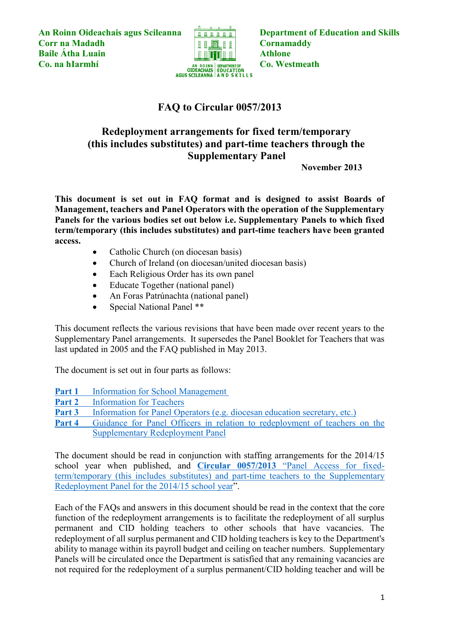An Roinn Oideachais agus Scileanna **Department of Education and Skills Corr na Madadh Cornamaddy Cornamaddy Baile Átha Luain Christian Athlone Athlone Co. na hIarmhí Co. Westmeath**<br> **Co. Westmeath**<br> **Co. Westmeath**<br> **Co. Westmeath**<br> **CO. Westmeath**<br> **AGUS SCILEANNA AND SKILLS** 



# **FAQ to Circular 0057/2013**

# **Redeployment arrangements for fixed term/temporary (this includes substitutes) and part-time teachers through the Supplementary Panel**

**November 2013** 

**This document is set out in FAQ format and is designed to assist Boards of Management, teachers and Panel Operators with the operation of the Supplementary Panels for the various bodies set out below i.e. Supplementary Panels to which fixed term/temporary (this includes substitutes) and part-time teachers have been granted access.** 

- Catholic Church (on diocesan basis)
- Church of Ireland (on diocesan/united diocesan basis)
- Each Religious Order has its own panel
- Educate Together (national panel)
- An Foras Patrúnachta (national panel)
- Special National Panel \*\*

This document reflects the various revisions that have been made over recent years to the Supplementary Panel arrangements. It supersedes the Panel Booklet for Teachers that was last updated in 2005 and the FAQ published in May 2013.

The document is set out in four parts as follows:

- **Part 1** Information for School Management
- **Part 2** [Information for Teachers](#page-6-0)
- **Part 3** [Information for Panel Operators \(e.g. diocesan education secretary,](#page-13-0) etc.)
- **Part 4** Guidance for Panel Officers in relation to redeployment of teachers on the [Supplementary Redeployment Panel](#page-14-0)

The document should be read in conjunction with staffing arrangements for the 2014/15 school year when published, and **Circular 0057/2013** "[Panel Access for fixed](http://www.education.ie/en/Circulars-and-Forms/Active-Circulars/cl0057_2013.pdf)[term/temporary \(this includes substitutes\) and part-time teachers to the Supplementary](http://www.education.ie/en/Circulars-and-Forms/Active-Circulars/cl0057_2013.pdf)  Redeployment Panel [for the 2014/15 school year](http://www.education.ie/en/Circulars-and-Forms/Active-Circulars/cl0057_2013.pdf)".

Each of the FAQs and answers in this document should be read in the context that the core function of the redeployment arrangements is to facilitate the redeployment of all surplus permanent and CID holding teachers to other schools that have vacancies. The redeployment of all surplus permanent and CID holding teachers is key to the Department's ability to manage within its payroll budget and ceiling on teacher numbers. Supplementary Panels will be circulated once the Department is satisfied that any remaining vacancies are not required for the redeployment of a surplus permanent/CID holding teacher and will be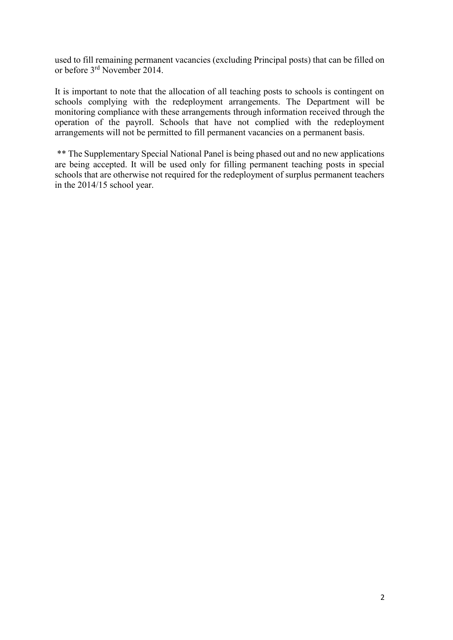used to fill remaining permanent vacancies (excluding Principal posts) that can be filled on or before 3 rd November 2014.

It is important to note that the allocation of all teaching posts to schools is contingent on schools complying with the redeployment arrangements. The Department will be monitoring compliance with these arrangements through information received through the operation of the payroll. Schools that have not complied with the redeployment arrangements will not be permitted to fill permanent vacancies on a permanent basis.

\*\* The Supplementary Special National Panel is being phased out and no new applications are being accepted. It will be used only for filling permanent teaching posts in special schools that are otherwise not required for the redeployment of surplus permanent teachers in the 2014/15 school year.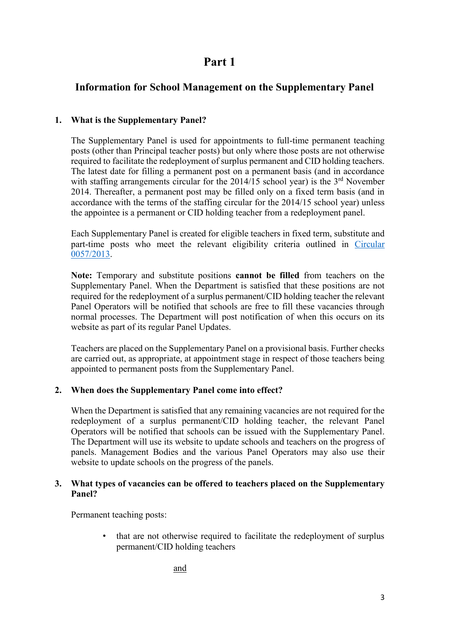# <span id="page-2-0"></span>**Information for School Management on the Supplementary Panel**

# **1. What is the Supplementary Panel?**

The Supplementary Panel is used for appointments to full-time permanent teaching posts (other than Principal teacher posts) but only where those posts are not otherwise required to facilitate the redeployment of surplus permanent and CID holding teachers. The latest date for filling a permanent post on a permanent basis (and in accordance with staffing arrangements circular for the  $2014/15$  school year) is the  $3<sup>rd</sup>$  November 2014. Thereafter, a permanent post may be filled only on a fixed term basis (and in accordance with the terms of the staffing circular for the 2014/15 school year) unless the appointee is a permanent or CID holding teacher from a redeployment panel.

Each Supplementary Panel is created for eligible teachers in fixed term, substitute and part-time posts who meet the relevant eligibility criteria outlined in Circular [0057/2013.](http://www.education.ie/en/Circulars-and-Forms/Active-Circulars/cl0057_2013.pdf)

**Note:** Temporary and substitute positions **cannot be filled** from teachers on the Supplementary Panel. When the Department is satisfied that these positions are not required for the redeployment of a surplus permanent/CID holding teacher the relevant Panel Operators will be notified that schools are free to fill these vacancies through normal processes. The Department will post notification of when this occurs on its website as part of its regular Panel Updates.

Teachers are placed on the Supplementary Panel on a provisional basis. Further checks are carried out, as appropriate, at appointment stage in respect of those teachers being appointed to permanent posts from the Supplementary Panel.

# **2. When does the Supplementary Panel come into effect?**

When the Department is satisfied that any remaining vacancies are not required for the redeployment of a surplus permanent/CID holding teacher, the relevant Panel Operators will be notified that schools can be issued with the Supplementary Panel. The Department will use its website to update schools and teachers on the progress of panels. Management Bodies and the various Panel Operators may also use their website to update schools on the progress of the panels.

### **3. What types of vacancies can be offered to teachers placed on the Supplementary Panel?**

Permanent teaching posts:

• that are not otherwise required to facilitate the redeployment of surplus permanent/CID holding teachers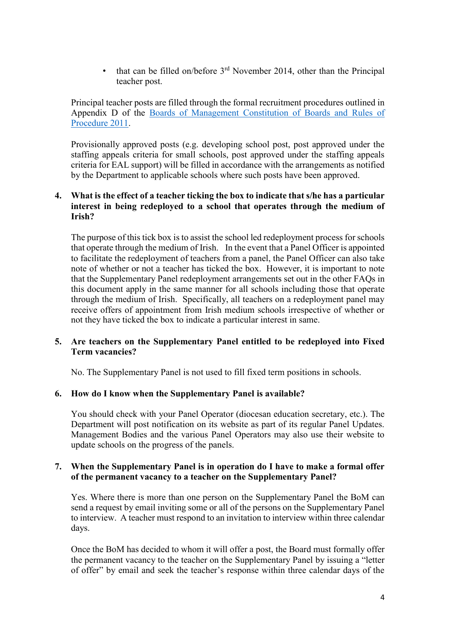• that can be filled on/before  $3<sup>rd</sup>$  November 2014, other than the Principal teacher post.

Principal teacher posts are filled through the formal recruitment procedures outlined in Appendix D of the [Boards of Management Constitution of Boards and Rules of](http://www.education.ie/en/Schools-Colleges/Information/Boards-of-Management/Boards-of-Management-of-National-Schools-Constitution-of-Boards-and-Rules-of-Procedure-2011.pdf)  [Procedure 2011.](http://www.education.ie/en/Schools-Colleges/Information/Boards-of-Management/Boards-of-Management-of-National-Schools-Constitution-of-Boards-and-Rules-of-Procedure-2011.pdf)

Provisionally approved posts (e.g. developing school post, post approved under the staffing appeals criteria for small schools, post approved under the staffing appeals criteria for EAL support) will be filled in accordance with the arrangements as notified by the Department to applicable schools where such posts have been approved.

#### **4. What is the effect of a teacher ticking the box to indicate that s/he has a particular interest in being redeployed to a school that operates through the medium of Irish?**

The purpose of this tick box is to assist the school led redeployment process for schools that operate through the medium of Irish. In the event that a Panel Officer is appointed to facilitate the redeployment of teachers from a panel, the Panel Officer can also take note of whether or not a teacher has ticked the box. However, it is important to note that the Supplementary Panel redeployment arrangements set out in the other FAQs in this document apply in the same manner for all schools including those that operate through the medium of Irish. Specifically, all teachers on a redeployment panel may receive offers of appointment from Irish medium schools irrespective of whether or not they have ticked the box to indicate a particular interest in same.

### **5. Are teachers on the Supplementary Panel entitled to be redeployed into Fixed Term vacancies?**

No. The Supplementary Panel is not used to fill fixed term positions in schools.

#### **6. How do I know when the Supplementary Panel is available?**

You should check with your Panel Operator (diocesan education secretary, etc.). The Department will post notification on its website as part of its regular Panel Updates. Management Bodies and the various Panel Operators may also use their website to update schools on the progress of the panels.

#### **7. When the Supplementary Panel is in operation do I have to make a formal offer of the permanent vacancy to a teacher on the Supplementary Panel?**

Yes. Where there is more than one person on the Supplementary Panel the BoM can send a request by email inviting some or all of the persons on the Supplementary Panel to interview. A teacher must respond to an invitation to interview within three calendar days.

Once the BoM has decided to whom it will offer a post, the Board must formally offer the permanent vacancy to the teacher on the Supplementary Panel by issuing a "letter of offer" by email and seek the teacher's response within three calendar days of the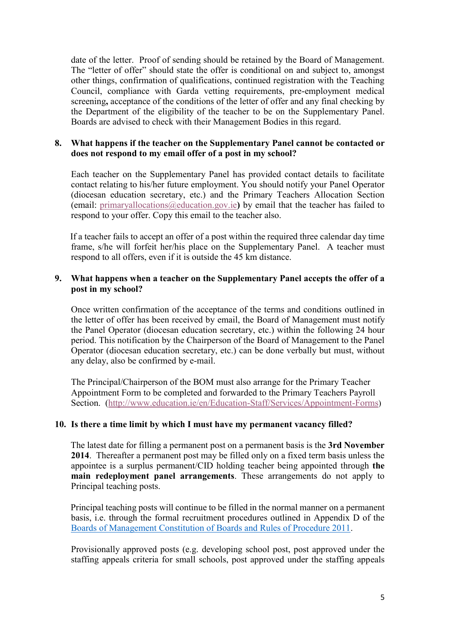date of the letter. Proof of sending should be retained by the Board of Management. The "letter of offer" should state the offer is conditional on and subject to, amongst other things, confirmation of qualifications, continued registration with the Teaching Council, compliance with Garda vetting requirements, pre-employment medical screening**,** acceptance of the conditions of the letter of offer and any final checking by the Department of the eligibility of the teacher to be on the Supplementary Panel. Boards are advised to check with their Management Bodies in this regard.

#### **8. What happens if the teacher on the Supplementary Panel cannot be contacted or does not respond to my email offer of a post in my school?**

Each teacher on the Supplementary Panel has provided contact details to facilitate contact relating to his/her future employment. You should notify your Panel Operator (diocesan education secretary, etc.) and the Primary Teachers Allocation Section (email: [primaryallocations@education.gov.ie](mailto:primaryallocations@education.gov.ie)**)** by email that the teacher has failed to respond to your offer. Copy this email to the teacher also.

If a teacher fails to accept an offer of a post within the required three calendar day time frame, s/he will forfeit her/his place on the Supplementary Panel. A teacher must respond to all offers, even if it is outside the 45 km distance.

#### **9. What happens when a teacher on the Supplementary Panel accepts the offer of a post in my school?**

Once written confirmation of the acceptance of the terms and conditions outlined in the letter of offer has been received by email, the Board of Management must notify the Panel Operator (diocesan education secretary, etc.) within the following 24 hour period. This notification by the Chairperson of the Board of Management to the Panel Operator (diocesan education secretary, etc.) can be done verbally but must, without any delay, also be confirmed by e-mail.

The Principal/Chairperson of the BOM must also arrange for the Primary Teacher Appointment Form to be completed and forwarded to the Primary Teachers Payroll Section. [\(http://www.education.ie/en/Education-Staff/Services/Appointment-Forms](http://www.education.ie/en/Education-Staff/Services/Appointment-Forms))

### **10. Is there a time limit by which I must have my permanent vacancy filled?**

 The latest date for filling a permanent post on a permanent basis is the **3rd November 2014**. Thereafter a permanent post may be filled only on a fixed term basis unless the appointee is a surplus permanent/CID holding teacher being appointed through **the main redeployment panel arrangements**. These arrangements do not apply to Principal teaching posts.

 Principal teaching posts will continue to be filled in the normal manner on a permanent basis, i.e. through the formal recruitment procedures outlined in Appendix D of the [Boards of Management Constitution of Boards and Rules of Procedure 2011.](http://www.education.ie/en/Schools-Colleges/Information/Boards-of-Management/Boards-of-Management-of-National-Schools-Constitution-of-Boards-and-Rules-of-Procedure-2011.pdf)

Provisionally approved posts (e.g. developing school post, post approved under the staffing appeals criteria for small schools, post approved under the staffing appeals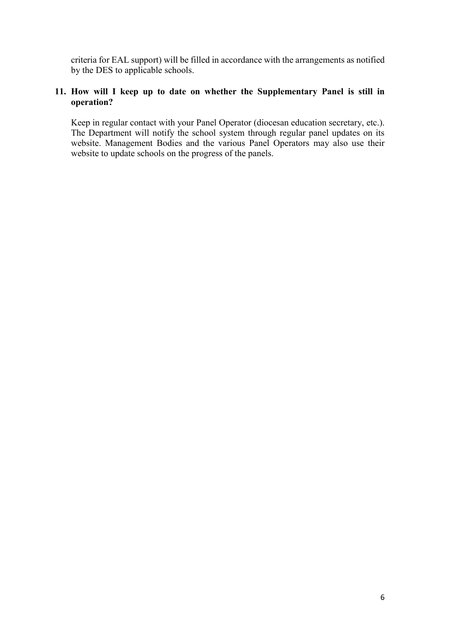criteria for EAL support) will be filled in accordance with the arrangements as notified by the DES to applicable schools.

## **11. How will I keep up to date on whether the Supplementary Panel is still in operation?**

Keep in regular contact with your Panel Operator (diocesan education secretary, etc.). The Department will notify the school system through regular panel updates on its website. Management Bodies and the various Panel Operators may also use their website to update schools on the progress of the panels.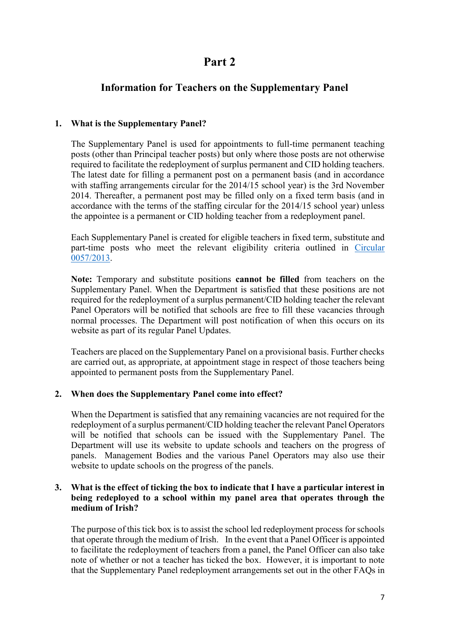# <span id="page-6-0"></span>**Information for Teachers on the Supplementary Panel**

## **1. What is the Supplementary Panel?**

The Supplementary Panel is used for appointments to full-time permanent teaching posts (other than Principal teacher posts) but only where those posts are not otherwise required to facilitate the redeployment of surplus permanent and CID holding teachers. The latest date for filling a permanent post on a permanent basis (and in accordance with staffing arrangements circular for the 2014/15 school year) is the 3rd November 2014. Thereafter, a permanent post may be filled only on a fixed term basis (and in accordance with the terms of the staffing circular for the 2014/15 school year) unless the appointee is a permanent or CID holding teacher from a redeployment panel.

Each Supplementary Panel is created for eligible teachers in fixed term, substitute and part-time posts who meet the relevant eligibility criteria outlined in [Circular](http://www.education.ie/en/Circulars-and-Forms/Active-Circulars/cl0057_2013.pdf)  [0057/2013.](http://www.education.ie/en/Circulars-and-Forms/Active-Circulars/cl0057_2013.pdf)

**Note:** Temporary and substitute positions **cannot be filled** from teachers on the Supplementary Panel. When the Department is satisfied that these positions are not required for the redeployment of a surplus permanent/CID holding teacher the relevant Panel Operators will be notified that schools are free to fill these vacancies through normal processes. The Department will post notification of when this occurs on its website as part of its regular Panel Updates.

Teachers are placed on the Supplementary Panel on a provisional basis. Further checks are carried out, as appropriate, at appointment stage in respect of those teachers being appointed to permanent posts from the Supplementary Panel.

### **2. When does the Supplementary Panel come into effect?**

When the Department is satisfied that any remaining vacancies are not required for the redeployment of a surplus permanent/CID holding teacher the relevant Panel Operators will be notified that schools can be issued with the Supplementary Panel. The Department will use its website to update schools and teachers on the progress of panels. Management Bodies and the various Panel Operators may also use their website to update schools on the progress of the panels.

#### **3. What is the effect of ticking the box to indicate that I have a particular interest in being redeployed to a school within my panel area that operates through the medium of Irish?**

The purpose of this tick box is to assist the school led redeployment process for schools that operate through the medium of Irish. In the event that a Panel Officer is appointed to facilitate the redeployment of teachers from a panel, the Panel Officer can also take note of whether or not a teacher has ticked the box. However, it is important to note that the Supplementary Panel redeployment arrangements set out in the other FAQs in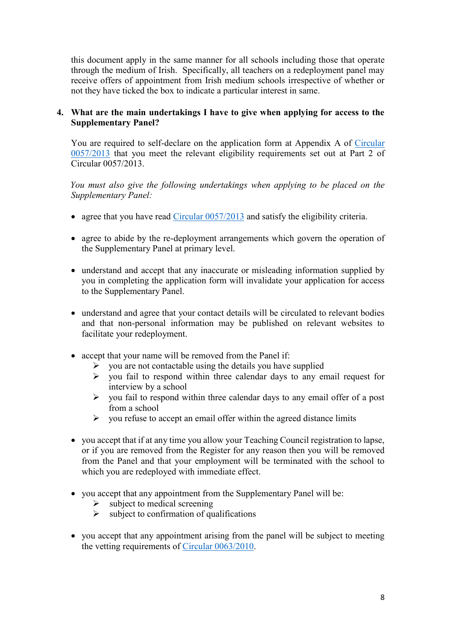this document apply in the same manner for all schools including those that operate through the medium of Irish. Specifically, all teachers on a redeployment panel may receive offers of appointment from Irish medium schools irrespective of whether or not they have ticked the box to indicate a particular interest in same.

## **4. What are the main undertakings I have to give when applying for access to the Supplementary Panel?**

You are required to self-declare on the application form at Appendix A of [Circular](http://www.education.ie/en/Circulars-and-Forms/Active-Circulars/cl0057_2013.pdf)  [0057/2013](http://www.education.ie/en/Circulars-and-Forms/Active-Circulars/cl0057_2013.pdf) that you meet the relevant eligibility requirements set out at Part 2 of Circular 0057/2013.

*You must also give the following undertakings when applying to be placed on the Supplementary Panel:*

- agree that you have read [Circular 0057/2013](http://www.education.ie/en/Circulars-and-Forms/Active-Circulars/cl0057_2013.pdf) and satisfy the eligibility criteria.
- agree to abide by the re-deployment arrangements which govern the operation of the Supplementary Panel at primary level.
- understand and accept that any inaccurate or misleading information supplied by you in completing the application form will invalidate your application for access to the Supplementary Panel.
- understand and agree that your contact details will be circulated to relevant bodies and that non-personal information may be published on relevant websites to facilitate your redeployment.
- accept that your name will be removed from the Panel if:
	- $\triangleright$  you are not contactable using the details you have supplied
	- $\triangleright$  you fail to respond within three calendar days to any email request for interview by a school
	- $\triangleright$  you fail to respond within three calendar days to any email offer of a post from a school
	- $\triangleright$  you refuse to accept an email offer within the agreed distance limits
- you accept that if at any time you allow your Teaching Council registration to lapse, or if you are removed from the Register for any reason then you will be removed from the Panel and that your employment will be terminated with the school to which you are redeployed with immediate effect.
- you accept that any appointment from the Supplementary Panel will be:
	- $\triangleright$  subject to medical screening
	- $\triangleright$  subject to confirmation of qualifications
- you accept that any appointment arising from the panel will be subject to meeting the vetting requirements of [Circular 0063/2010.](http://www.education.ie/en/Circulars-and-Forms/Active-Circulars/cl0063_2010.doc)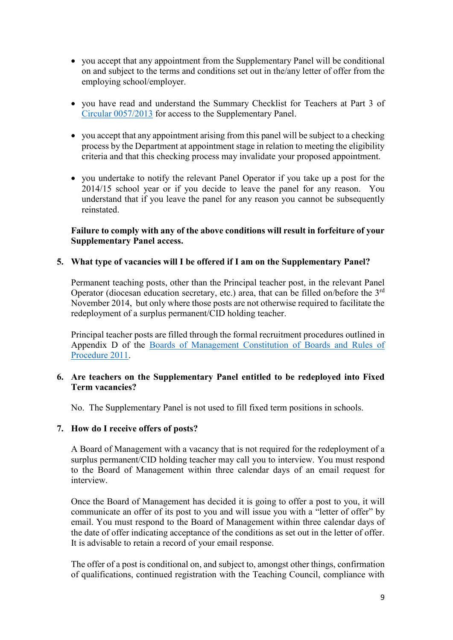- you accept that any appointment from the Supplementary Panel will be conditional on and subject to the terms and conditions set out in the/any letter of offer from the employing school/employer.
- you have read and understand the Summary Checklist for Teachers at Part 3 of [Circular 0057/2013](http://www.education.ie/en/Circulars-and-Forms/Active-Circulars/cl0057_2013.pdf) for access to the Supplementary Panel.
- you accept that any appointment arising from this panel will be subject to a checking process by the Department at appointment stage in relation to meeting the eligibility criteria and that this checking process may invalidate your proposed appointment.
- you undertake to notify the relevant Panel Operator if you take up a post for the 2014/15 school year or if you decide to leave the panel for any reason. You understand that if you leave the panel for any reason you cannot be subsequently reinstated.

#### **Failure to comply with any of the above conditions will result in forfeiture of your Supplementary Panel access.**

#### **5. What type of vacancies will I be offered if I am on the Supplementary Panel?**

Permanent teaching posts, other than the Principal teacher post, in the relevant Panel Operator (diocesan education secretary, etc.) area, that can be filled on/before the 3<sup>rd</sup> November 2014, but only where those posts are not otherwise required to facilitate the redeployment of a surplus permanent/CID holding teacher.

Principal teacher posts are filled through the formal recruitment procedures outlined in Appendix D of the [Boards of Management Constitution of Boards and Rules of](http://edweb/en/Schools-Colleges/Information/Boards-of-Management/Boards-of-Management-of-National-Schools-Constitution-of-Boards-and-Rules-of-Procedure-2011.pdf)  [Procedure 2011.](http://edweb/en/Schools-Colleges/Information/Boards-of-Management/Boards-of-Management-of-National-Schools-Constitution-of-Boards-and-Rules-of-Procedure-2011.pdf)

#### **6. Are teachers on the Supplementary Panel entitled to be redeployed into Fixed Term vacancies?**

No. The Supplementary Panel is not used to fill fixed term positions in schools.

#### **7. How do I receive offers of posts?**

A Board of Management with a vacancy that is not required for the redeployment of a surplus permanent/CID holding teacher may call you to interview. You must respond to the Board of Management within three calendar days of an email request for interview.

Once the Board of Management has decided it is going to offer a post to you, it will communicate an offer of its post to you and will issue you with a "letter of offer" by email. You must respond to the Board of Management within three calendar days of the date of offer indicating acceptance of the conditions as set out in the letter of offer. It is advisable to retain a record of your email response.

The offer of a post is conditional on, and subject to, amongst other things, confirmation of qualifications, continued registration with the Teaching Council, compliance with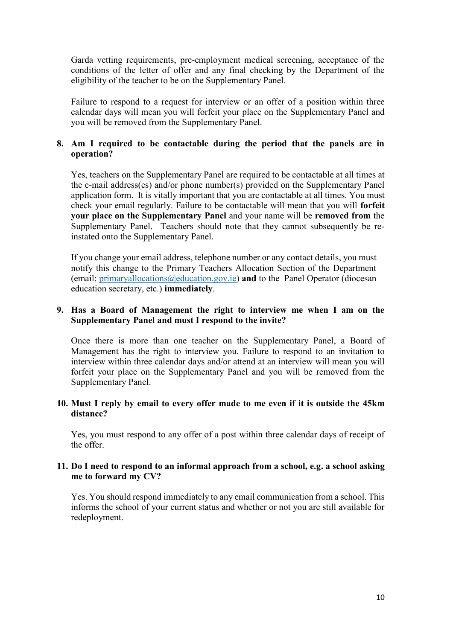Garda vetting requirements, pre-employment medical screening, acceptance of the conditions of the letter of offer and any final checking by the Department of the eligibility of the teacher to be on the Supplementary Panel.

Failure to respond to a request for interview or an offer of a position within three calendar days will mean you will forfeit your place on the Supplementary Panel and you will be removed from the Supplementary Panel.

### **8. Am I required to be contactable during the period that the panels are in operation?**

Yes, teachers on the Supplementary Panel are required to be contactable at all times at the e-mail address(es) and/or phone number(s) provided on the Supplementary Panel application form. It is vitally important that you are contactable at all times. You must check your email regularly. Failure to be contactable will mean that you will **forfeit your place on the Supplementary Panel** and your name will be **removed from** the Supplementary Panel. Teachers should note that they cannot subsequently be reinstated onto the Supplementary Panel.

If you change your email address, telephone number or any contact details, you must notify this change to the Primary Teachers Allocation Section of the Department (email: [primaryallocations@education.gov.ie\)](mailto:primaryallocations@education.gov.ie) **and** to the Panel Operator (diocesan education secretary, etc.) **immediately**.

#### **9. Has a Board of Management the right to interview me when I am on the Supplementary Panel and must I respond to the invite?**

Once there is more than one teacher on the Supplementary Panel, a Board of Management has the right to interview you. Failure to respond to an invitation to interview within three calendar days and/or attend at an interview will mean you will forfeit your place on the Supplementary Panel and you will be removed from the Supplementary Panel.

#### **10. Must I reply by email to every offer made to me even if it is outside the 45km distance?**

Yes, you must respond to any offer of a post within three calendar days of receipt of the offer.

#### **11. Do I need to respond to an informal approach from a school, e.g. a school asking me to forward my CV?**

Yes. You should respond immediately to any email communication from a school. This informs the school of your current status and whether or not you are still available for redeployment.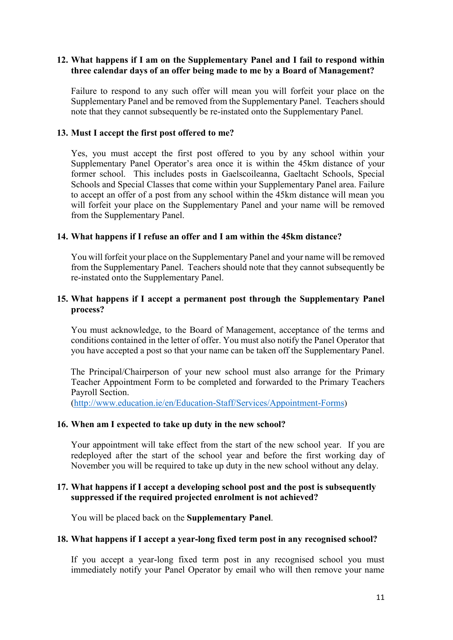#### **12. What happens if I am on the Supplementary Panel and I fail to respond within three calendar days of an offer being made to me by a Board of Management?**

Failure to respond to any such offer will mean you will forfeit your place on the Supplementary Panel and be removed from the Supplementary Panel. Teachers should note that they cannot subsequently be re-instated onto the Supplementary Panel.

#### **13. Must I accept the first post offered to me?**

Yes, you must accept the first post offered to you by any school within your Supplementary Panel Operator's area once it is within the 45km distance of your former school. This includes posts in Gaelscoileanna, Gaeltacht Schools, Special Schools and Special Classes that come within your Supplementary Panel area. Failure to accept an offer of a post from any school within the 45km distance will mean you will forfeit your place on the Supplementary Panel and your name will be removed from the Supplementary Panel.

#### **14. What happens if I refuse an offer and I am within the 45km distance?**

You will forfeit your place on the Supplementary Panel and your name will be removed from the Supplementary Panel. Teachers should note that they cannot subsequently be re-instated onto the Supplementary Panel.

#### **15. What happens if I accept a permanent post through the Supplementary Panel process?**

You must acknowledge, to the Board of Management, acceptance of the terms and conditions contained in the letter of offer. You must also notify the Panel Operator that you have accepted a post so that your name can be taken off the Supplementary Panel.

 The Principal/Chairperson of your new school must also arrange for the Primary Teacher Appointment Form to be completed and forwarded to the Primary Teachers Payroll Section.

[\(http://www.education.ie/en/Education-Staff/Services/Appointment-Forms](http://www.education.ie/en/Education-Staff/Services/Appointment-Forms))

#### **16. When am I expected to take up duty in the new school?**

Your appointment will take effect from the start of the new school year. If you are redeployed after the start of the school year and before the first working day of November you will be required to take up duty in the new school without any delay.

#### **17. What happens if I accept a developing school post and the post is subsequently suppressed if the required projected enrolment is not achieved?**

You will be placed back on the **Supplementary Panel**.

#### **18. What happens if I accept a year-long fixed term post in any recognised school?**

If you accept a year-long fixed term post in any recognised school you must immediately notify your Panel Operator by email who will then remove your name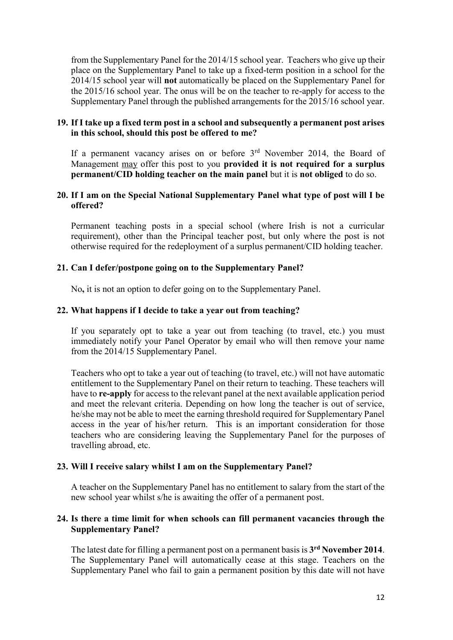from the Supplementary Panel for the 2014/15 school year. Teachers who give up their place on the Supplementary Panel to take up a fixed-term position in a school for the 2014/15 school year will **not** automatically be placed on the Supplementary Panel for the 2015/16 school year. The onus will be on the teacher to re-apply for access to the Supplementary Panel through the published arrangements for the 2015/16 school year.

#### **19. If I take up a fixed term post in a school and subsequently a permanent post arises in this school, should this post be offered to me?**

If a permanent vacancy arises on or before 3rd November 2014, the Board of Management may offer this post to you **provided it is not required for a surplus permanent/CID holding teacher on the main panel** but it is **not obliged** to do so.

#### **20. If I am on the Special National Supplementary Panel what type of post will I be offered?**

Permanent teaching posts in a special school (where Irish is not a curricular requirement), other than the Principal teacher post, but only where the post is not otherwise required for the redeployment of a surplus permanent/CID holding teacher.

#### **21. Can I defer/postpone going on to the Supplementary Panel?**

No**,** it is not an option to defer going on to the Supplementary Panel.

#### **22. What happens if I decide to take a year out from teaching?**

If you separately opt to take a year out from teaching (to travel, etc.) you must immediately notify your Panel Operator by email who will then remove your name from the 2014/15 Supplementary Panel.

Teachers who opt to take a year out of teaching (to travel, etc.) will not have automatic entitlement to the Supplementary Panel on their return to teaching. These teachers will have to **re-apply** for access to the relevant panel at the next available application period and meet the relevant criteria. Depending on how long the teacher is out of service, he/she may not be able to meet the earning threshold required for Supplementary Panel access in the year of his/her return. This is an important consideration for those teachers who are considering leaving the Supplementary Panel for the purposes of travelling abroad, etc.

#### **23. Will I receive salary whilst I am on the Supplementary Panel?**

A teacher on the Supplementary Panel has no entitlement to salary from the start of the new school year whilst s/he is awaiting the offer of a permanent post.

#### **24. Is there a time limit for when schools can fill permanent vacancies through the Supplementary Panel?**

 The latest date for filling a permanent post on a permanent basis is **3 rd November 2014**. The Supplementary Panel will automatically cease at this stage. Teachers on the Supplementary Panel who fail to gain a permanent position by this date will not have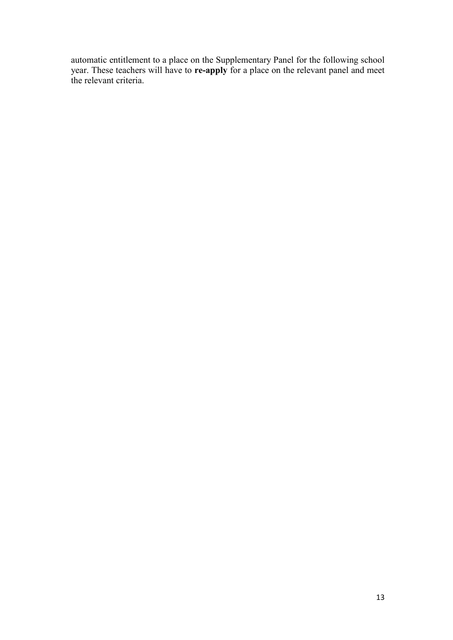automatic entitlement to a place on the Supplementary Panel for the following school year. These teachers will have to **re-apply** for a place on the relevant panel and meet the relevant criteria.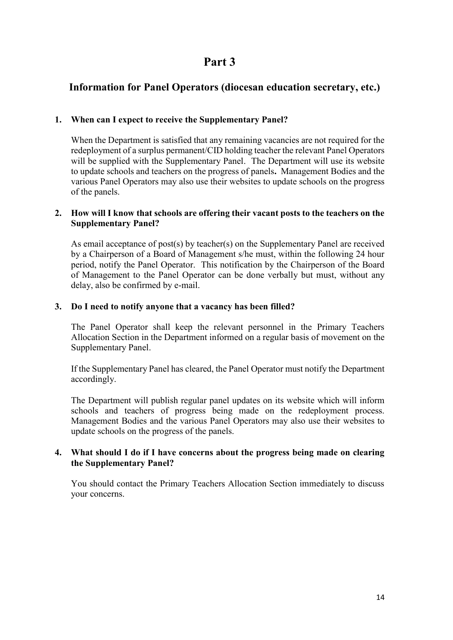# <span id="page-13-0"></span>**Information for Panel Operators (diocesan education secretary, etc.)**

## **1. When can I expect to receive the Supplementary Panel?**

When the Department is satisfied that any remaining vacancies are not required for the redeployment of a surplus permanent/CID holding teacher the relevant Panel Operators will be supplied with the Supplementary Panel. The Department will use its website to update schools and teachers on the progress of panels**.** Management Bodies and the various Panel Operators may also use their websites to update schools on the progress of the panels.

#### **2. How will I know that schools are offering their vacant posts to the teachers on the Supplementary Panel?**

As email acceptance of post(s) by teacher(s) on the Supplementary Panel are received by a Chairperson of a Board of Management s/he must, within the following 24 hour period, notify the Panel Operator. This notification by the Chairperson of the Board of Management to the Panel Operator can be done verbally but must, without any delay, also be confirmed by e-mail.

### **3. Do I need to notify anyone that a vacancy has been filled?**

The Panel Operator shall keep the relevant personnel in the Primary Teachers Allocation Section in the Department informed on a regular basis of movement on the Supplementary Panel.

If the Supplementary Panel has cleared, the Panel Operator must notify the Department accordingly.

The Department will publish regular panel updates on its website which will inform schools and teachers of progress being made on the redeployment process. Management Bodies and the various Panel Operators may also use their websites to update schools on the progress of the panels.

#### **4. What should I do if I have concerns about the progress being made on clearing the Supplementary Panel?**

You should contact the Primary Teachers Allocation Section immediately to discuss your concerns.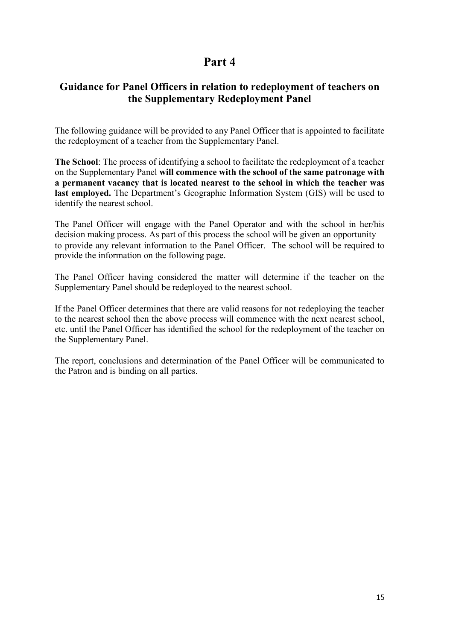# <span id="page-14-0"></span>**Guidance for Panel Officers in relation to redeployment of teachers on the Supplementary Redeployment Panel**

The following guidance will be provided to any Panel Officer that is appointed to facilitate the redeployment of a teacher from the Supplementary Panel.

**The School**: The process of identifying a school to facilitate the redeployment of a teacher on the Supplementary Panel **will commence with the school of the same patronage with a permanent vacancy that is located nearest to the school in which the teacher was last employed.** The Department's Geographic Information System (GIS) will be used to identify the nearest school.

The Panel Officer will engage with the Panel Operator and with the school in her/his decision making process. As part of this process the school will be given an opportunity to provide any relevant information to the Panel Officer. The school will be required to provide the information on the following page.

The Panel Officer having considered the matter will determine if the teacher on the Supplementary Panel should be redeployed to the nearest school.

If the Panel Officer determines that there are valid reasons for not redeploying the teacher to the nearest school then the above process will commence with the next nearest school, etc. until the Panel Officer has identified the school for the redeployment of the teacher on the Supplementary Panel.

The report, conclusions and determination of the Panel Officer will be communicated to the Patron and is binding on all parties.